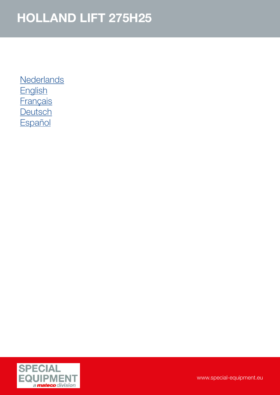**[Nederlands](#page-1-0) [English](#page-2-0) [Français](#page-3-0) [Deutsch](#page-4-0) [Español](#page-5-0)** 

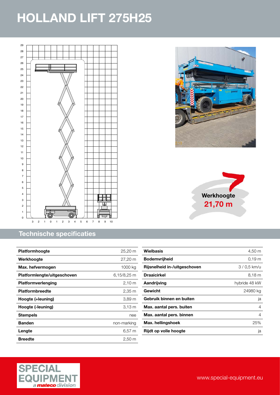<span id="page-1-0"></span>

#### Technische specificaties

| <b>Platformhoogte</b>       | 25,20 m              |
|-----------------------------|----------------------|
| Werkhoogte                  | 27,20 m              |
| Max. hefvermogen            | 1000 kg              |
| Platformlengte/uitgeschoven | 6,15/8,25 m          |
| Platformverlenging          | $2,10 \; m$          |
| <b>Platformbreedte</b>      | $2,35 \; \mathrm{m}$ |
| Hoogte (+leuning)           | 3.89 m               |
| Hoogte (-leuning)           | 3,13 m               |
| <b>Stempels</b>             | nee                  |
| <b>Banden</b>               | non-marking          |
| Lengte                      | 6.57 m               |
| <b>Breedte</b>              | $2.50 \text{ m}$     |







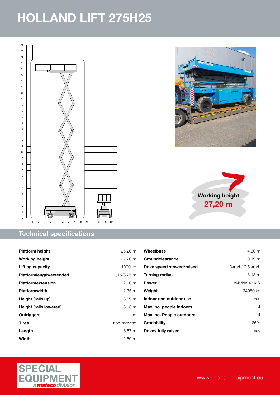<span id="page-2-0"></span>

#### Technical specifications

| <b>Platform height</b>  | $25,20 \; \text{m}$  |
|-------------------------|----------------------|
| <b>Working height</b>   | 27,20 m              |
| Lifting capacity        | 1000 kg              |
| Platformlength/extended | 6,15/8,25 m          |
| Platformextension       | $2,10 \, \text{m}$   |
| <b>Platformwidth</b>    | $2,35 \; \mathrm{m}$ |
| Height (rails up)       | 3,89 m               |
| Height (rails lowered)  | 3,13 m               |
| Outriggers              | no                   |
| Tires                   | non-marking          |
| Length                  | $6,57 \; m$          |
| Width                   | 2,50 m               |





| Wheelbase                  | 4,50 m            |
|----------------------------|-------------------|
| Groundclearance            | 0.19 <sub>m</sub> |
| Drive speed stowed/raised  | 3km/h/ 0.5 km/h   |
| Turning radius             | $8,18 \; m$       |
| Power                      | hybride 48 kW     |
| Weight                     | 24980 kg          |
| Indoor and outdoor use     | yes               |
| Max. no. people indoors    | 4                 |
| Max. no. People outdoors   | 4                 |
| Gradability                | 25%               |
| <b>Drives fully raised</b> | ves               |

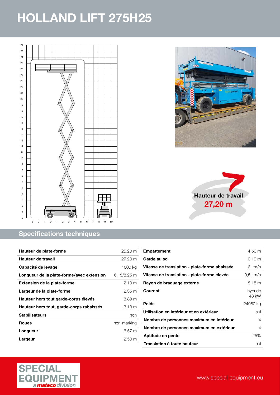<span id="page-3-0"></span>

# Specifications techniques

| Hauteur de plate-forme                    | 25,20 m          |
|-------------------------------------------|------------------|
| Hauteur de travail                        | 27,20 m          |
| Capacité de levage                        | 1000 kg          |
| Longueur de la plate-forme/avec extension | 6,15/8,25 m      |
| <b>Extension de la plate-forme</b>        | 2,10 m           |
| Largeur de la plate-forme                 | 2,35 m           |
| Hauteur hors tout garde-corps élevés      | 3,89 m           |
| Hauteur hors tout, garde-corps rabaissés  | $3.13 \text{ m}$ |
| <b>Stabilisateurs</b>                     | non              |
| Roues                                     | non-marking      |
| Longueur                                  | $6,57 \; m$      |
| Largeur                                   | 2,50 m           |





| <b>Empattement</b>                            | 4,50 m            |
|-----------------------------------------------|-------------------|
| Garde au sol                                  | 0.19 <sub>m</sub> |
| Vitesse de translation - plate-forme abaissée | 3 km/h            |
| Vitesse de translation - plate-forme élevée   | $0.5$ km/h        |
| Rayon de braquage externe                     | 8,18 m            |
| Courant                                       | hybride<br>48 kW  |
| <b>Poids</b>                                  | 24980 kg          |
| Utilisation en intérieur et en extérieur      | oui               |
| Nombre de personnes maximum en intérieur      | 4                 |
| Nombre de personnes maximum en extérieur      | 4                 |
| Aptitude en pente                             | 25%               |
| Translation à toute hauteur                   | oui               |
|                                               |                   |

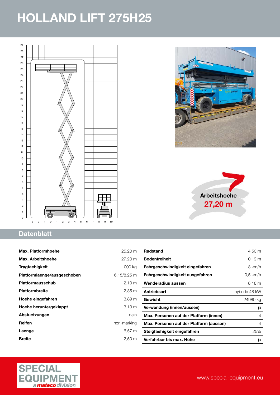<span id="page-4-0"></span>





#### **Datenblatt**

| $25,20 \text{ m}$  | <b>Radstand</b>                         | 4,50 m             |
|--------------------|-----------------------------------------|--------------------|
| 27.20 m            | <b>Bodenfreiheit</b>                    | $0,19 \, \text{m}$ |
| 1000 kg            | Fahrgeschwindigkeit eingefahren         | 3 km/h             |
| $6,15/8,25$ m      | Fahrgeschwindigkeit ausgefahren         | $0.5$ km/h         |
| 2,10 m             | Wenderadius aussen                      | $8,18 \; m$        |
| $2,35 \, \text{m}$ | Antriebsart                             | hybride 48 kW      |
| 3,89 <sub>m</sub>  | Gewicht                                 | 24980 kg           |
| $3,13 \, m$        | Verwendung (innen/aussen)               | ja                 |
| nein               | Max. Personen auf der Platform (innen)  | $\overline{4}$     |
| non-marking        | Max. Personen auf der Platform (aussen) | 4                  |
| 6,57 m             | Steigfaehigkeit eingefahren             | 25%                |
| $2,50 \; \text{m}$ | Verfahrbar bis max. Höhe                | ja                 |
|                    |                                         |                    |